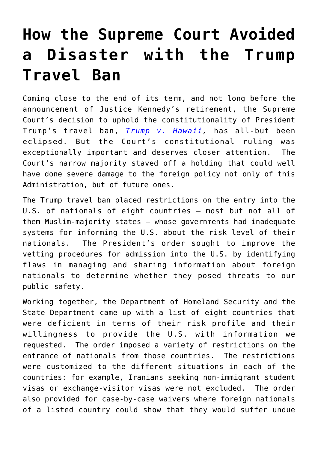## **[How the Supreme Court Avoided](https://intellectualtakeout.org/2018/07/how-the-supreme-court-avoided-a-disaster-with-the-trump-travel-ban/) [a Disaster with the Trump](https://intellectualtakeout.org/2018/07/how-the-supreme-court-avoided-a-disaster-with-the-trump-travel-ban/) [Travel Ban](https://intellectualtakeout.org/2018/07/how-the-supreme-court-avoided-a-disaster-with-the-trump-travel-ban/)**

Coming close to the end of its term, and not long before the announcement of Justice Kennedy's retirement, the Supreme Court's decision to uphold the constitutionality of President Trump's travel ban, *[Trump v. Hawaii](https://www.supremecourt.gov/opinions/17pdf/17-965_h315.pdf),* has all-but been eclipsed. But the Court's constitutional ruling was exceptionally important and deserves closer attention. The Court's narrow majority staved off a holding that could well have done severe damage to the foreign policy not only of this Administration, but of future ones.

The Trump travel ban placed restrictions on the entry into the U.S. of nationals of eight countries – most but not all of them Muslim-majority states – whose governments had inadequate systems for informing the U.S. about the risk level of their nationals. The President's order sought to improve the vetting procedures for admission into the U.S. by identifying flaws in managing and sharing information about foreign nationals to determine whether they posed threats to our public safety.

Working together, the Department of Homeland Security and the State Department came up with a list of eight countries that were deficient in terms of their risk profile and their willingness to provide the U.S. with information we requested. The order imposed a variety of restrictions on the entrance of nationals from those countries. The restrictions were customized to the different situations in each of the countries: for example, Iranians seeking non-immigrant student visas or exchange-visitor visas were not excluded. The order also provided for case-by-case waivers where foreign nationals of a listed country could show that they would suffer undue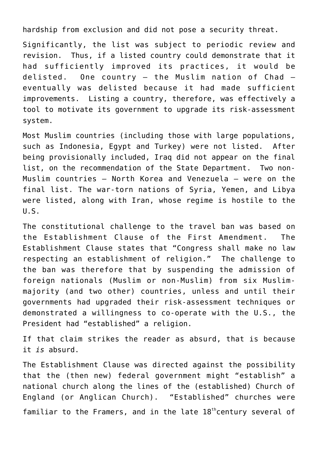hardship from exclusion and did not pose a security threat.

Significantly, the list was subject to periodic review and revision. Thus, if a listed country could demonstrate that it had sufficiently improved its practices, it would be delisted. One country – the Muslim nation of Chad – eventually was delisted because it had made sufficient improvements. Listing a country, therefore, was effectively a tool to motivate its government to upgrade its risk-assessment system.

Most Muslim countries (including those with large populations, such as Indonesia, Egypt and Turkey) were not listed. After being provisionally included, Iraq did not appear on the final list, on the recommendation of the State Department. Two non-Muslim countries – North Korea and Venezuela – were on the final list. The war-torn nations of Syria, Yemen, and Libya were listed, along with Iran, whose regime is hostile to the U.S.

The constitutional challenge to the travel ban was based on the Establishment Clause of the First Amendment. The Establishment Clause states that "Congress shall make no law respecting an establishment of religion." The challenge to the ban was therefore that by suspending the admission of foreign nationals (Muslim or non-Muslim) from six Muslimmajority (and two other) countries, unless and until their governments had upgraded their risk-assessment techniques or demonstrated a willingness to co-operate with the U.S., the President had "established" a religion.

If that claim strikes the reader as absurd, that is because it *is* absurd.

The Establishment Clause was directed against the possibility that the (then new) federal government might "establish" a national church along the lines of the (established) Church of England (or Anglican Church). "Established" churches were familiar to the Framers, and in the late  $18<sup>th</sup>$ century several of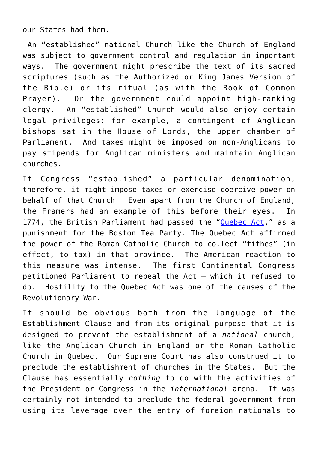our States had them.

 An "established" national Church like the Church of England was subject to government control and regulation in important ways. The government might prescribe the text of its sacred scriptures (such as the Authorized or King James Version of the Bible) or its ritual (as with the Book of Common Prayer). Or the government could appoint high-ranking clergy. An "established" Church would also enjoy certain legal privileges: for example, a contingent of Anglican bishops sat in the House of Lords, the upper chamber of Parliament. And taxes might be imposed on non-Anglicans to pay stipends for Anglican ministers and maintain Anglican churches.

If Congress "established" a particular denomination, therefore, it might impose taxes or exercise coercive power on behalf of that Church. Even apart from the Church of England, the Framers had an example of this before their eyes. In 1774, the British Parliament had passed the "[Quebec Act](http://avalon.law.yale.edu/18th_century/quebec_act_1774.asp)," as a punishment for the Boston Tea Party. The Quebec Act affirmed the power of the Roman Catholic Church to collect "tithes" (in effect, to tax) in that province. The American reaction to this measure was intense. The first Continental Congress petitioned Parliament to repeal the Act – which it refused to do. Hostility to the Quebec Act was one of the causes of the Revolutionary War.

It should be obvious both from the language of the Establishment Clause and from its original purpose that it is designed to prevent the establishment of a *national* church, like the Anglican Church in England or the Roman Catholic Church in Quebec. Our Supreme Court has also construed it to preclude the establishment of churches in the States. But the Clause has essentially *nothing* to do with the activities of the President or Congress in the *international* arena. It was certainly not intended to preclude the federal government from using its leverage over the entry of foreign nationals to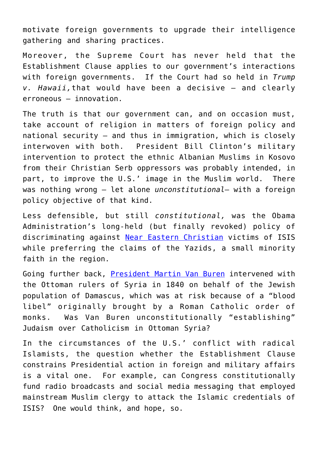motivate foreign governments to upgrade their intelligence gathering and sharing practices.

Moreover, the Supreme Court has never held that the Establishment Clause applies to our government's interactions with foreign governments. If the Court had so held in *Trump v. Hawaii,*that would have been a decisive – and clearly erroneous – innovation.

The truth is that our government can, and on occasion must, take account of religion in matters of foreign policy and national security – and thus in immigration, which is closely interwoven with both. President Bill Clinton's military intervention to protect the ethnic Albanian Muslims in Kosovo from their Christian Serb oppressors was probably intended, in part, to improve the U.S.' image in the Muslim world. There was nothing wrong – let alone *unconstitutional*– with a foreign policy objective of that kind.

Less defensible, but still *constitutional,* was the Obama Administration's long-held (but finally revoked) policy of discriminating against [Near Eastern Christian](https://www.firstthings.com/web-exclusives/2014/08/forgetting-the-christians) victims of ISIS while preferring the claims of the Yazids, a small minority faith in the region.

Going further back, [President Martin Van Buren](https://www.jewishvirtuallibrary.org/americans-react-to-the-damascus-blood-libel) intervened with the Ottoman rulers of Syria in 1840 on behalf of the Jewish population of Damascus, which was at risk because of a "blood libel" originally brought by a Roman Catholic order of monks. Was Van Buren unconstitutionally "establishing" Judaism over Catholicism in Ottoman Syria?

In the circumstances of the U.S.' conflict with radical Islamists, the question whether the Establishment Clause constrains Presidential action in foreign and military affairs is a vital one. For example, can Congress constitutionally fund radio broadcasts and social media messaging that employed mainstream Muslim clergy to attack the Islamic credentials of ISIS? One would think, and hope, so.